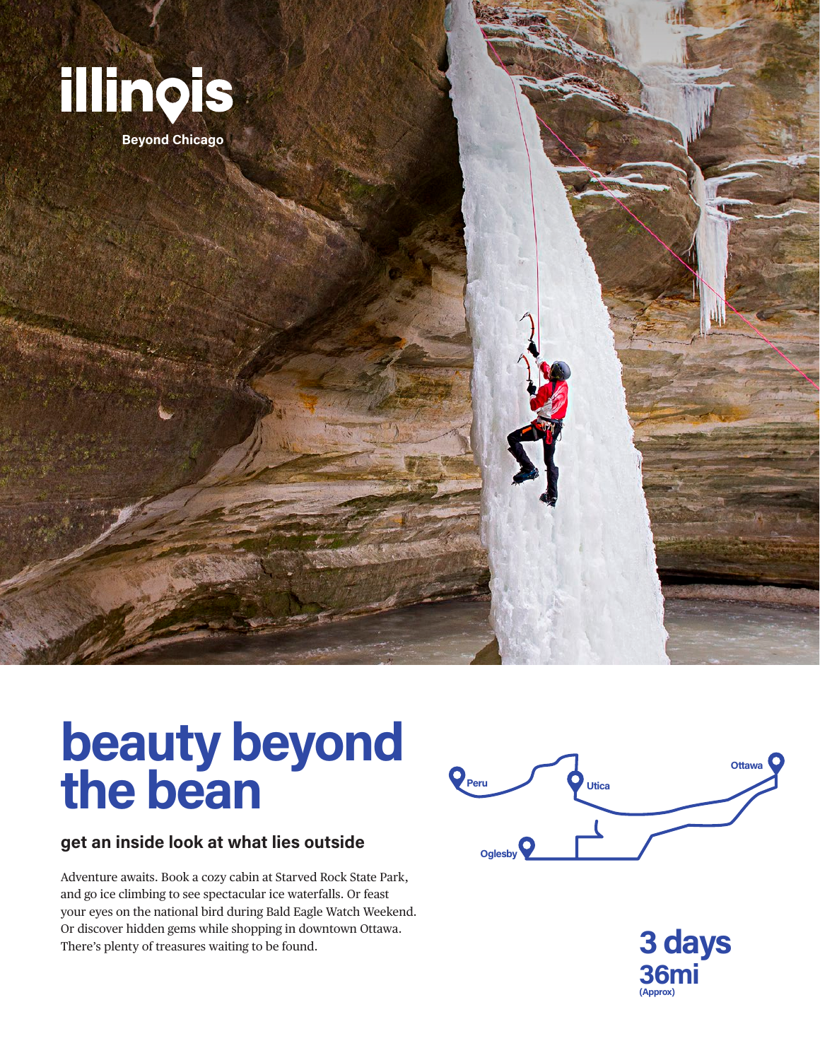

## **beauty beyond the bean**

## **get an inside look at what lies outside**

Adventure awaits. Book a cozy cabin at Starved Rock State Park, and go ice climbing to see spectacular ice waterfalls. Or feast your eyes on the national bird during Bald Eagle Watch Weekend. Or discover hidden gems while shopping in downtown Ottawa. There's plenty of treasures waiting to be found.